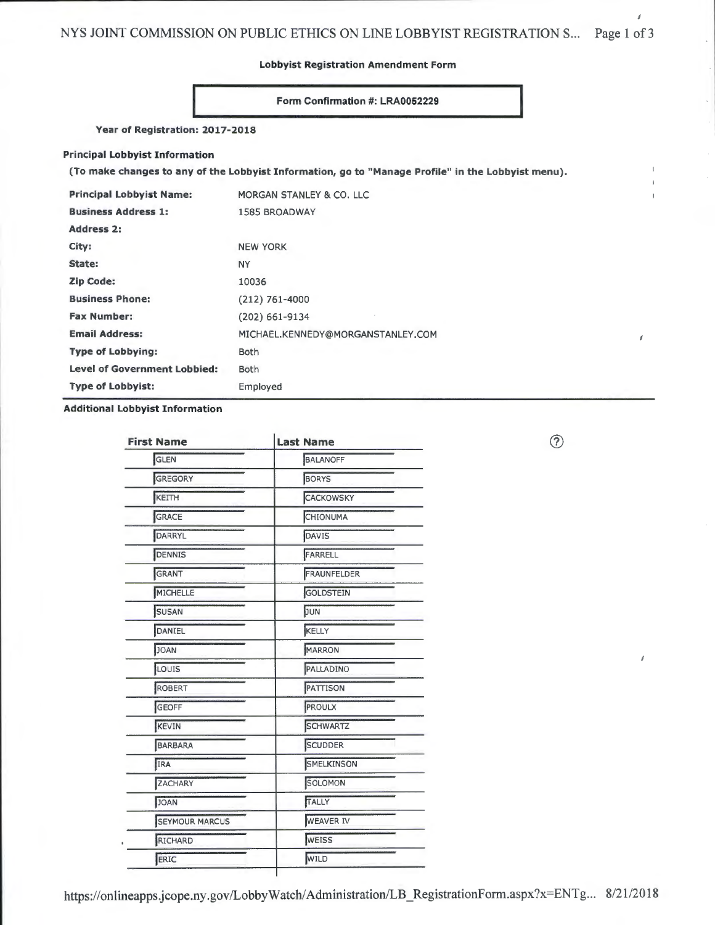NYS JOINT COMMISSION ON PUBLIC ETHICS ON LINE LOBBYIST REGISTRATION S... Page 1 of 3

**Lobbyist Registration Amendment Form** 

# **Form Confirmation #: LRA0052229**

**Year of Registration: 2017-2018** 

## **Principal Lobbyist Information**

**(To make changes to any of the Lobbyist Information, go to "Manage Profile" in the Lobbyist menu).** 

| <b>Principal Lobbyist Name:</b>     | MORGAN STANLEY & CO. LLC          |
|-------------------------------------|-----------------------------------|
| <b>Business Address 1:</b>          | <b>1585 BROADWAY</b>              |
| <b>Address 2:</b>                   |                                   |
| City:                               | <b>NEW YORK</b>                   |
| State:                              | <b>NY</b>                         |
| <b>Zip Code:</b>                    | 10036                             |
| <b>Business Phone:</b>              | $(212)$ 761-4000                  |
| <b>Fax Number:</b>                  | $(202)$ 661-9134                  |
| <b>Email Address:</b>               | MICHAEL.KENNEDY@MORGANSTANLEY.COM |
| <b>Type of Lobbying:</b>            | <b>Both</b>                       |
| <b>Level of Government Lobbied:</b> | Both                              |
| <b>Type of Lobbyist:</b>            | Employed                          |

# **Additional Lobbyist Information**

| <b>First Name</b>     | <b>Last Name</b> |  |  |
|-----------------------|------------------|--|--|
| GLEN                  | <b>BALANOFF</b>  |  |  |
| GREGORY               | <b>BORYS</b>     |  |  |
| KEITH                 | CACKOWSKY        |  |  |
| GRACE                 | CHIONUMA         |  |  |
| DARRYL                | DAVIS            |  |  |
| DENNIS                | FARRELL          |  |  |
| GRANT                 | FRAUNFELDER      |  |  |
| MICHELLE              | GOLDSTEIN        |  |  |
| <b>SUSAN</b>          | JUN              |  |  |
| DANIEL                | KELLY            |  |  |
| <b>JOAN</b>           | <b>MARRON</b>    |  |  |
| LOUIS                 | PALLADINO        |  |  |
| ROBERT                | PATTISON         |  |  |
| GEOFF                 | <b>PROULX</b>    |  |  |
| <b>KEVIN</b>          | <b>SCHWARTZ</b>  |  |  |
| <b>BARBARA</b>        | <b>SCUDDER</b>   |  |  |
| IRA                   | SMELKINSON       |  |  |
| ZACHARY               | SOLOMON          |  |  |
| <b>JOAN</b>           | TALLY            |  |  |
| <b>SEYMOUR MARCUS</b> | <b>WEAVER IV</b> |  |  |
| RICHARD               | <b>WEISS</b>     |  |  |
| ERIC                  | WILD             |  |  |

 $\circledcirc$ 

 $\boldsymbol{f}$ 

f

Í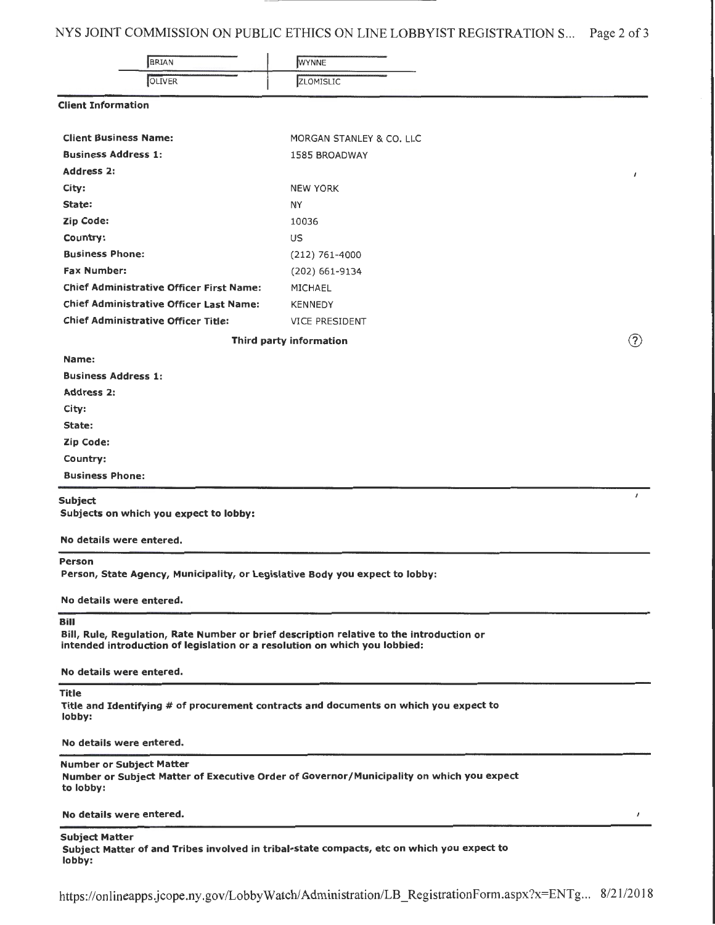# NYS JOINT COMMISSION ON PUBLIC ETHICS ON LINE LOBBYIST REGISTRATION S... Page 2 of 3

| BRIAN                                           | WYNNE                    |     |
|-------------------------------------------------|--------------------------|-----|
| <b>OLIVER</b>                                   | ZLOMISLIC                |     |
| <b>Client Information</b>                       |                          |     |
| <b>Client Business Name:</b>                    | MORGAN STANLEY & CO. LLC |     |
| <b>Business Address 1:</b>                      | 1585 BROADWAY            |     |
| <b>Address 2:</b>                               |                          | ,   |
| City:                                           | <b>NEW YORK</b>          |     |
| State:                                          | NY                       |     |
| <b>Zip Code:</b>                                | 10036                    |     |
| Country:                                        | <b>US</b>                |     |
| <b>Business Phone:</b>                          | (212) 761-4000           |     |
| <b>Fax Number:</b>                              | (202) 661-9134           |     |
| <b>Chief Administrative Officer First Name:</b> | MICHAEL                  |     |
| <b>Chief Administrative Officer Last Name:</b>  | <b>KENNEDY</b>           |     |
| <b>Chief Administrative Officer Title:</b>      | <b>VICE PRESIDENT</b>    |     |
|                                                 | Third party information  | (2) |
| Name:                                           |                          |     |

I

 $\boldsymbol{J}$ 

Business Address 1:

Address 2:

City:

State:

Zip Code:

Country:

Business Phone:

## Subject

Subjects on which you expect to lobby:

No details were entered.

## Person

Person, State Agency, Municipality, or Legislative Body you expect to lobby:

#### No details were entered.

## Bill

Bill, Rule, Regulation, Rate Number or brief description relative to the introduction or intended introduction of legislation or a resolution on which you lobbied:

No details were entered.

### Title

Title and Identifying # of procurement contracts and documents on which you expect to lobby:

#### No details were entered.

# Number or Subject Matter

Number or Subject Matter of Executive Order of Governor/Municipality on which you expect to lobby:

## No details were entered.

## Subject Matter

Subject Matter of and Tribes involved in tribal-state compacts, etc on which you expect to lobby:

https://onlineapps.jcope.ny.gov/LobbyWatch/ Administration/LB \_ RegistrationForm.aspx?x=ENTg... 8/21/2018